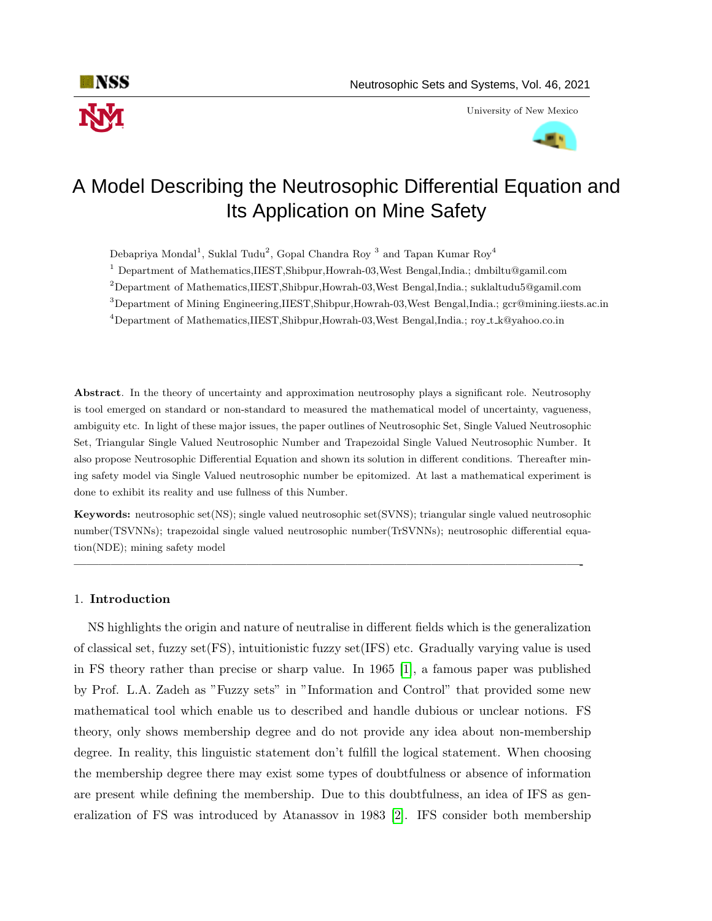

University of New Mexico



# Its Application on Mine Safety A Model Describing the Neutrosophic Differential Equation and

Debapriya Mondal<sup>1</sup>, Suklal Tudu<sup>2</sup>, Gopal Chandra Roy<sup>3</sup> and Tapan Kumar Roy<sup>4</sup>

<sup>1</sup> Department of Mathematics,IIEST,Shibpur,Howrah-03,West Bengal,India.; dmbiltu@gamil.com

 $2$ Department of Mathematics,IIEST,Shibpur,Howrah-03,West Bengal,India.; suklaltudu5@gamil.com

<sup>3</sup>Department of Mining Engineering,IIEST,Shibpur,Howrah-03,West Bengal,India.; gcr@mining.iiests.ac.in

<sup>4</sup>Department of Mathematics,IIEST,Shibpur,Howrah-03,West Bengal,India.; roy t k@yahoo.co.in

Abstract. In the theory of uncertainty and approximation neutrosophy plays a significant role. Neutrosophy is tool emerged on standard or non-standard to measured the mathematical model of uncertainty, vagueness, ambiguity etc. In light of these major issues, the paper outlines of Neutrosophic Set, Single Valued Neutrosophic Set, Triangular Single Valued Neutrosophic Number and Trapezoidal Single Valued Neutrosophic Number. It also propose Neutrosophic Differential Equation and shown its solution in different conditions. Thereafter mining safety model via Single Valued neutrosophic number be epitomized. At last a mathematical experiment is done to exhibit its reality and use fullness of this Number.

Keywords: neutrosophic set(NS); single valued neutrosophic set(SVNS); triangular single valued neutrosophic number(TSVNNs); trapezoidal single valued neutrosophic number(TrSVNNs); neutrosophic differential equation(NDE); mining safety model

—————————————————————————————————————————-

#### 1. Introduction

NS highlights the origin and nature of neutralise in different fields which is the generalization of classical set, fuzzy set(FS), intuitionistic fuzzy set(IFS) etc. Gradually varying value is used in FS theory rather than precise or sharp value. In 1965 [\[1\]](#page-14-0), a famous paper was published by Prof. L.A. Zadeh as "Fuzzy sets" in "Information and Control" that provided some new mathematical tool which enable us to described and handle dubious or unclear notions. FS theory, only shows membership degree and do not provide any idea about non-membership degree. In reality, this linguistic statement don't fulfill the logical statement. When choosing the membership degree there may exist some types of doubtfulness or absence of information are present while defining the membership. Due to this doubtfulness, an idea of IFS as generalization of FS was introduced by Atanassov in 1983 [\[2\]](#page-14-1). IFS consider both membership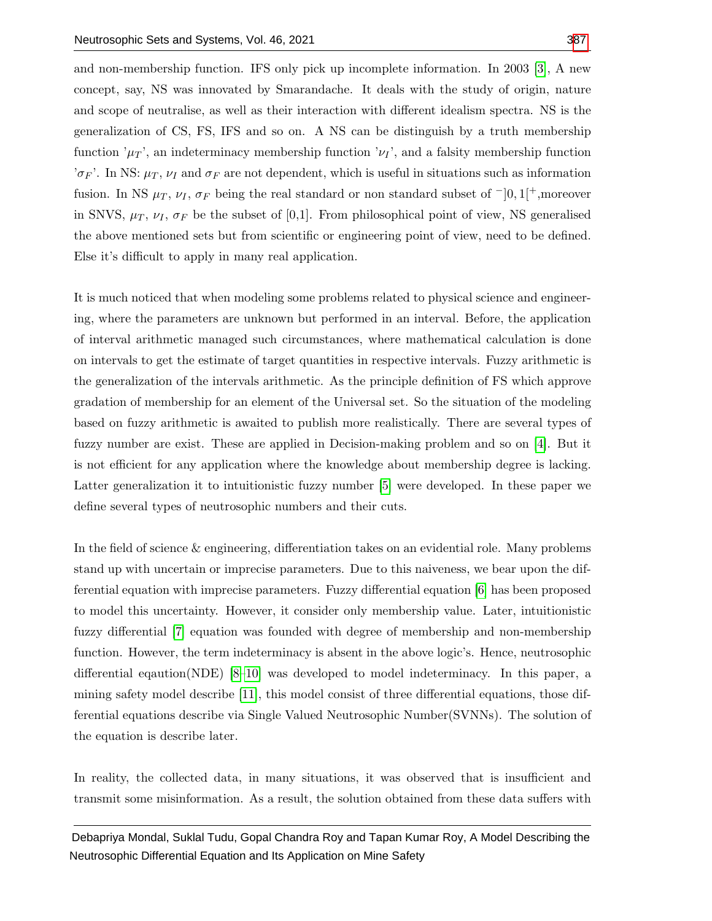and non-membership function. IFS only pick up incomplete information. In 2003 [\[3\]](#page-14-2), A new concept, say, NS was innovated by Smarandache. It deals with the study of origin, nature and scope of neutralise, as well as their interaction with different idealism spectra. NS is the generalization of CS, FS, IFS and so on. A NS can be distinguish by a truth membership function  $\mu_T$ , an indeterminacy membership function  $\nu_I$ , and a falsity membership function ' $\sigma_F$ '. In NS:  $\mu_T$ ,  $\nu_I$  and  $\sigma_F$  are not dependent, which is useful in situations such as information fusion. In NS  $\mu_T$ ,  $\nu_I$ ,  $\sigma_F$  being the real standard or non standard subset of  $\neg$  0, 1[<sup>+</sup>,moreover in SNVS,  $\mu_T$ ,  $\nu_I$ ,  $\sigma_F$  be the subset of [0,1]. From philosophical point of view, NS generalised the above mentioned sets but from scientific or engineering point of view, need to be defined. Else it's difficult to apply in many real application.

It is much noticed that when modeling some problems related to physical science and engineering, where the parameters are unknown but performed in an interval. Before, the application of interval arithmetic managed such circumstances, where mathematical calculation is done on intervals to get the estimate of target quantities in respective intervals. Fuzzy arithmetic is the generalization of the intervals arithmetic. As the principle definition of FS which approve gradation of membership for an element of the Universal set. So the situation of the modeling based on fuzzy arithmetic is awaited to publish more realistically. There are several types of fuzzy number are exist. These are applied in Decision-making problem and so on [\[4\]](#page-14-3). But it is not efficient for any application where the knowledge about membership degree is lacking. Latter generalization it to intuitionistic fuzzy number [\[5\]](#page-14-4) were developed. In these paper we define several types of neutrosophic numbers and their cuts.

In the field of science & engineering, differentiation takes on an evidential role. Many problems stand up with uncertain or imprecise parameters. Due to this naiveness, we bear upon the differential equation with imprecise parameters. Fuzzy differential equation [\[6\]](#page-14-5) has been proposed to model this uncertainty. However, it consider only membership value. Later, intuitionistic fuzzy differential [\[7\]](#page-14-6) equation was founded with degree of membership and non-membership function. However, the term indeterminacy is absent in the above logic's. Hence, neutrosophic differential eqaution(NDE) [\[8](#page-14-7)[–10\]](#page-14-8) was developed to model indeterminacy. In this paper, a mining safety model describe [\[11\]](#page-14-9), this model consist of three differential equations, those differential equations describe via Single Valued Neutrosophic Number(SVNNs). The solution of the equation is describe later.

In reality, the collected data, in many situations, it was observed that is insufficient and transmit some misinformation. As a result, the solution obtained from these data suffers with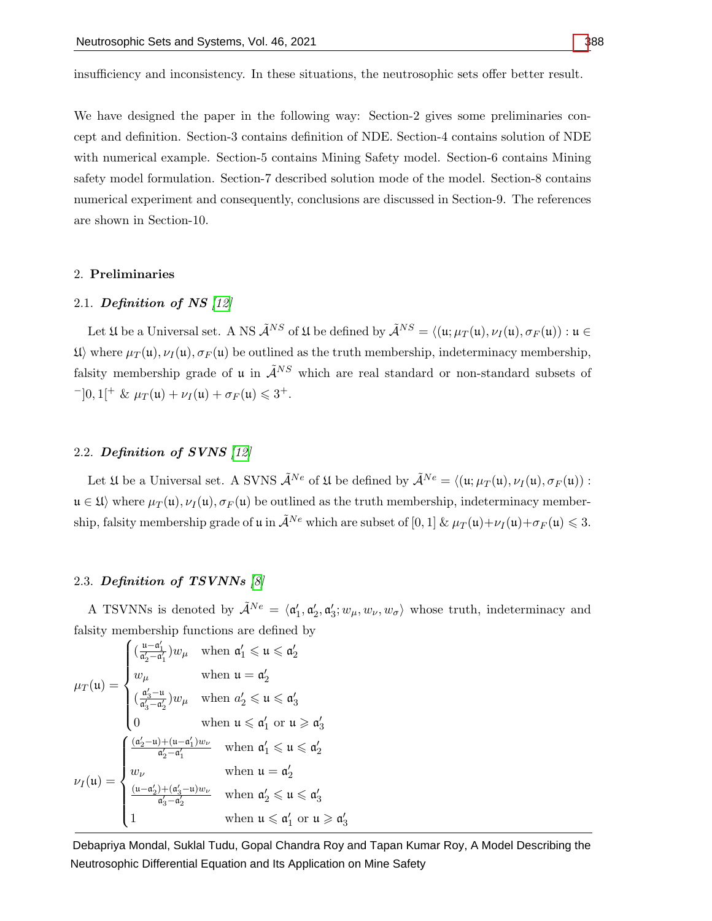insufficiency and inconsistency. In these situations, the neutrosophic sets offer better result.

We have designed the paper in the following way: Section-2 gives some preliminaries concept and definition. Section-3 contains definition of NDE. Section-4 contains solution of NDE with numerical example. Section-5 contains Mining Safety model. Section-6 contains Mining safety model formulation. Section-7 described solution mode of the model. Section-8 contains numerical experiment and consequently, conclusions are discussed in Section-9. The references are shown in Section-10.

## 2. Preliminaries

# 2.1. Definition of NS  $[12]$

Let  $\mathfrak U$  be a Universal set. A NS  $\tilde{\mathcal A}^{NS}$  of  $\mathfrak U$  be defined by  $\tilde{\mathcal A}^{NS} = \langle (\mathfrak u; \mu_T(\mathfrak u), \nu_I(\mathfrak u), \sigma_F(\mathfrak u)) : \mathfrak u \in$  $\mathfrak{U}$  where  $\mu_T(\mathfrak{u}), \nu_I(\mathfrak{u}), \sigma_F(\mathfrak{u})$  be outlined as the truth membership, indeterminacy membership, falsity membership grade of u in  $\tilde{\mathcal{A}}^{NS}$  which are real standard or non-standard subsets of  $^{-}[0,1[^{+} \& \mu_T(\mathfrak{u}) + \nu_I(\mathfrak{u}) + \sigma_F(\mathfrak{u}) \leq 3^+.$ 

## 2.2. Definition of SVNS [\[12\]](#page-14-10)

Let  $\mathfrak U$  be a Universal set. A SVNS  $\tilde{\mathcal A}^{Ne}$  of  $\mathfrak U$  be defined by  $\tilde{\mathcal A}^{Ne} = \langle (\mathfrak u; \mu_T(\mathfrak u), \nu_I(\mathfrak u), \sigma_F(\mathfrak u)) :$  $u \in \mathfrak{U}$  where  $\mu_{\mathcal{T}}(u), \nu_{\mathcal{T}}(u), \sigma_{\mathcal{F}}(u)$  be outlined as the truth membership, indeterminacy membership, falsity membership grade of u in  $\tilde{\mathcal{A}}^{Ne}$  which are subset of [0, 1]  $\& \mu_T(\mathfrak{u}) + \nu_I(\mathfrak{u}) + \sigma_F(\mathfrak{u}) \leq 3$ .

#### 2.3. Definition of TSVNNs [\[8\]](#page-14-7)

A TSVNNs is denoted by  $\tilde{\mathcal{A}}^{Ne} = \langle \mathfrak{a}'_1, \mathfrak{a}'_2, \mathfrak{a}'_3; w_\mu, w_\nu, w_\sigma \rangle$  whose truth, indeterminacy and falsity membership functions are defined by

$$
\mu_T(u) = \begin{cases}\n\left(\frac{u - a'_1}{a'_2 - a'_1}\right) w_\mu & \text{when } a'_1 \leq u \leq a'_2 \\
w_\mu & \text{when } u = a'_2 \\
\left(\frac{a'_3 - u}{a'_3 - a'_2}\right) w_\mu & \text{when } a'_2 \leq u \leq a'_3 \\
0 & \text{when } u \leq a'_1 \text{ or } u \geq a'_3\n\end{cases}
$$
\n
$$
\nu_I(u) = \begin{cases}\n\frac{(a'_2 - u) + (u - a'_1) w_\nu}{a'_2 - a'_1} & \text{when } a'_1 \leq u \leq a'_2 \\
w_\nu & \text{when } u = a'_2 \\
\frac{(u - a'_2) + (a'_3 - u) w_\nu}{a'_3 - a'_2} & \text{when } a'_2 \leq u \leq a'_3 \\
1 & \text{when } u \leq a'_1 \text{ or } u \geq a'_3\n\end{cases}
$$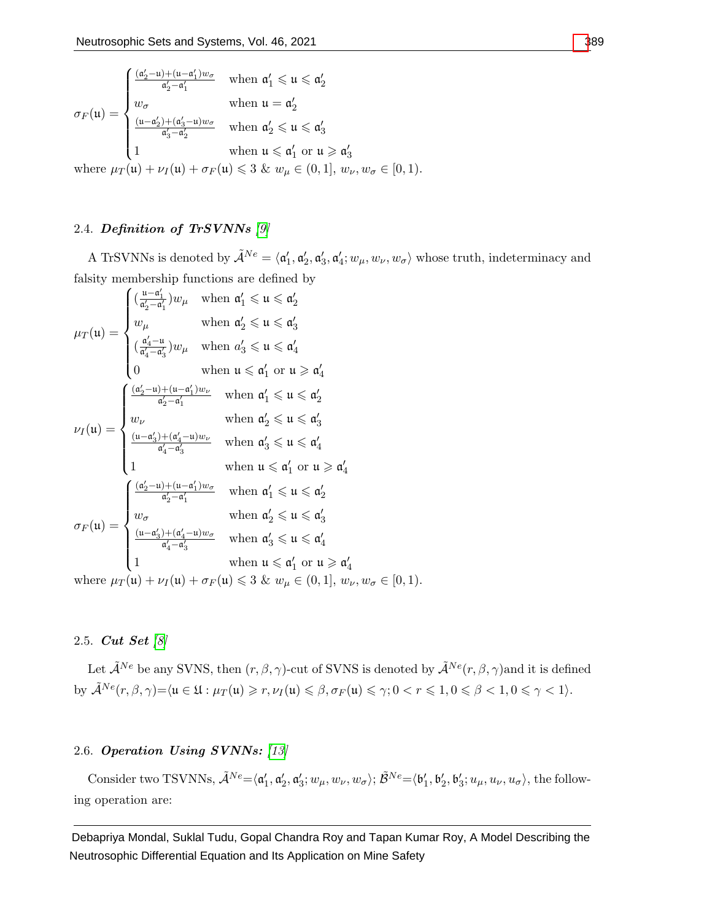$$
\sigma_F(\mathfrak{u}) = \begin{cases}\n\frac{(\mathfrak{a}_2' - \mathfrak{u}) + (\mathfrak{u} - \mathfrak{a}_1')w_{\sigma}}{\mathfrak{a}_2' - \mathfrak{a}_1'} & \text{when } \mathfrak{a}_1' \leq \mathfrak{u} \leq \mathfrak{a}_2' \\
w_{\sigma} & \text{when } \mathfrak{u} = \mathfrak{a}_2' \\
\frac{(\mathfrak{u} - \mathfrak{a}_2') + (\mathfrak{a}_3' - \mathfrak{u})w_{\sigma}}{\mathfrak{a}_3' - \mathfrak{a}_2'} & \text{when } \mathfrak{a}_2' \leq \mathfrak{u} \leq \mathfrak{a}_3' \\
1 & \text{when } \mathfrak{u} \leq \mathfrak{a}_1' \text{ or } \mathfrak{u} \geq \mathfrak{a}_3' \\
\text{when } \mathfrak{u} \leq \mathfrak{a}_1' \text{ or } \mathfrak{u} \geq \mathfrak{a}_3' \\
\end{cases}
$$

where  $\mu_T(\mathfrak{u}) + \nu_I(\mathfrak{u}) + \sigma_F(\mathfrak{u}) \leq 3$  &  $w_\mu \in (0,1], w_\nu, w_\sigma \in [0,1)$ .

# 2.4. Definition of TrSVNNs [\[9\]](#page-14-11)

A TrSVNNs is denoted by  $\tilde{\mathcal{A}}^{Ne} = \langle \mathfrak{a}'_1, \mathfrak{a}'_2, \mathfrak{a}'_3, \mathfrak{a}'_4; w_\mu, w_\nu, w_\sigma \rangle$  whose truth, indeterminacy and falsity membership functions are defined by

$$
\mu_T(\mathfrak{u}) = \begin{cases}\n(\frac{\mathfrak{u} - \mathfrak{a}'_1}{d'_2 - \mathfrak{a}'_1})w_\mu & \text{when } \mathfrak{a}'_1 \leq \mathfrak{u} \leq \mathfrak{a}'_2 \\
w_\mu & \text{when } \mathfrak{a}'_2 \leq \mathfrak{u} \leq \mathfrak{a}'_3 \\
(\frac{\mathfrak{a}'_4 - \mathfrak{u}}{d'_4 - \mathfrak{a}'_3})w_\mu & \text{when } \mathfrak{a}'_3 \leq \mathfrak{u} \leq \mathfrak{a}'_4 \\
0 & \text{when } \mathfrak{u} \leq \mathfrak{a}'_1 \text{ or } \mathfrak{u} \geq \mathfrak{a}'_4\n\end{cases}
$$
\n
$$
\nu_I(\mathfrak{u}) = \begin{cases}\n\frac{(\mathfrak{a}'_2 - \mathfrak{u}) + (\mathfrak{u} - \mathfrak{a}'_1)w_\nu}{\mathfrak{a}'_2 - \mathfrak{a}'_1} & \text{when } \mathfrak{a}'_1 \leq \mathfrak{u} \leq \mathfrak{a}'_2 \\
w_\nu & \text{when } \mathfrak{a}'_1 \leq \mathfrak{u} \leq \mathfrak{a}'_2 \\
w_\nu & \text{when } \mathfrak{a}'_2 \leq \mathfrak{u} \leq \mathfrak{a}'_3 \\
\frac{(\mathfrak{u} - \mathfrak{a}'_3) + (\mathfrak{a}'_4 - \mathfrak{u})w_\nu}{\mathfrak{a}'_4 - \mathfrak{a}'_3} & \text{when } \mathfrak{a}'_3 \leq \mathfrak{u} \leq \mathfrak{a}'_4 \\
1 & \text{when } \mathfrak{u} \leq \mathfrak{a}'_1 \text{ or } \mathfrak{u} \geq \mathfrak{a}'_4 \\
\frac{(\mathfrak{a}'_2 - \mathfrak{u}) + (\mathfrak{u} - \mathfrak{a}'_1)w_\sigma}{\mathfrak{a}'_2 - \mathfrak{a}'_1} & \text{when } \mathfrak{a}'_1 \leq \mathfrak{u} \leq \mathfrak{a}'_2 \\
w_\sigma \\
\sigma_F(\mathfrak{u}) = \begin{cases}\n\frac{(\mathfrak{a}'_2 - \
$$

# 2.5. Cut Set [\[8\]](#page-14-7)

Let  $\tilde{\mathcal{A}}^{Ne}$  be any SVNS, then  $(r, \beta, \gamma)$ -cut of SVNS is denoted by  $\tilde{\mathcal{A}}^{Ne}(r, \beta, \gamma)$  and it is defined by  $\tilde{\mathcal{A}}^{Ne}(r, \beta, \gamma) = \langle \mathfrak{u} \in \mathfrak{U} : \mu_T(\mathfrak{u}) \geqslant r, \nu_I(\mathfrak{u}) \leqslant \beta, \sigma_F(\mathfrak{u}) \leqslant \gamma; 0 < r \leqslant 1, 0 \leqslant \beta < 1, 0 \leqslant \gamma < 1 \rangle.$ 

# 2.6. Operation Using SVNNs: [\[13\]](#page-14-12)

Consider two TSVNNs,  $\tilde{\mathcal{A}}^{Ne} = \langle \mathfrak{a}'_1, \mathfrak{a}'_2, \mathfrak{a}'_3; w_\mu, w_\nu, w_\sigma \rangle; \tilde{\mathcal{B}}^{Ne} = \langle \mathfrak{b}'_1, \mathfrak{b}'_2, \mathfrak{b}'_3; u_\mu, u_\nu, u_\sigma \rangle$ , the following operation are: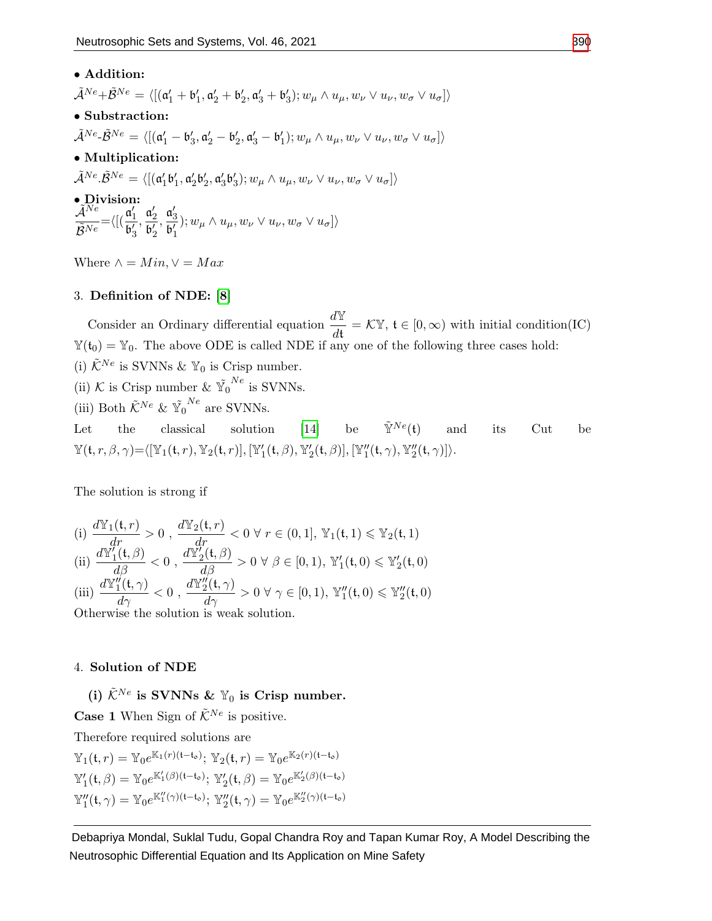# • Addition:

 $\tilde{\mathcal{A}}^{Ne}+\tilde{\mathcal{B}}^{Ne}=\langle[(\mathfrak{a}_1'+\mathfrak{b}_1',\mathfrak{a}_2'+\mathfrak{b}_2',\mathfrak{a}_3'+\mathfrak{b}_3');w_{\mu}\wedge u_{\mu},w_{\nu}\vee u_{\nu},w_{\sigma}\vee u_{\sigma}]\rangle$ 

- Substraction:
- $\tilde{\mathcal{A}}^{Ne} \tilde{\mathcal{B}}^{Ne} = \langle [(\mathfrak{a}'_1 \mathfrak{b}'_3, \mathfrak{a}'_2 \mathfrak{b}'_2, \mathfrak{a}'_3 \mathfrak{b}'_1); w_{\mu} \wedge u_{\mu}, w_{\nu} \vee u_{\nu}, w_{\sigma} \vee u_{\sigma}]\rangle$
- Multiplication:
- $\tilde{\mathcal{A}}^{Ne}.\tilde{\mathcal{B}}^{Ne}=\langle[(\mathfrak{a}'_1\mathfrak{b}'_1,\mathfrak{a}'_2\mathfrak{b}'_2,\mathfrak{a}'_3\mathfrak{b}'_3); w_{\mu}\wedge u_{\mu},w_{\nu}\vee u_{\nu},w_{\sigma}\vee u_{\sigma}]\rangle$

• Division:  $\mathcal{\widetilde{A}}^{\overline{N}\overline{e}}$  $\tilde{\mathcal{B}}^{Ne}$  $=\langle \big[(\frac{\mathfrak{a}'_1}{\sqrt{2}}\big]$  $\overline{\mathfrak{b}_3'}$  $\frac{\mathfrak{a}'_2}{\mathfrak{a}'_2}$  $\overline{\mathfrak{b}_2'}$  $\frac{\mathfrak{a}'_3}{\mathfrak{a}'_2}$  $\overline{\mathfrak{b}'_1}$  $\langle v, w_{\mu} \wedge u_{\mu}, w_{\nu} \vee u_{\nu}, w_{\sigma} \vee u_{\sigma} \rangle$ 

Where  $\wedge = Min, \vee = Max$ 

## 3. Definition of NDE: [\[8\]](#page-14-7)

Consider an Ordinary differential equation  $\frac{d\mathbb{Y}}{dt} = \mathcal{K}\mathbb{Y}$ ,  $\mathfrak{t} \in [0, \infty)$  with initial condition(IC)  $\mathbb{Y}(t_0) = \mathbb{Y}_0$ . The above ODE is called NDE if any one of the following three cases hold: (i)  $\tilde{\mathcal{K}}^{Ne}$  is SVNNs &  $\mathbb{Y}_0$  is Crisp number. (ii) K is Crisp number &  $\tilde{Y_0}^{Ne}$  is SVNNs. (iii) Both  $\tilde{\mathcal{K}}^{Ne}$  &  $\tilde{Y_0}^{Ne}$  are SVNNs.

Let the classical solution [\[14\]](#page-15-1) be  $\tilde{\mathbb{Y}}^{Ne}(\mathfrak{t})$  and its Cut be  $\mathbb{Y}(\mathfrak{t}, r, \beta, \gamma) = \langle [\mathbb{Y}_1(\mathfrak{t}, r), \mathbb{Y}_2(\mathfrak{t}, r)], [\mathbb{Y}_1'(\mathfrak{t}, \beta), \mathbb{Y}_2'(\mathfrak{t}, \beta)], [\mathbb{Y}_1''(\mathfrak{t}, \gamma), \mathbb{Y}_2''(\mathfrak{t}, \gamma)] \rangle.$ 

The solution is strong if

(i) 
$$
\frac{d\mathbb{Y}_1(\mathfrak{t},r)}{dr} > 0
$$
,  $\frac{d\mathbb{Y}_2(\mathfrak{t},r)}{dr} < 0 \ \forall \ r \in (0,1], \mathbb{Y}_1(\mathfrak{t},1) \leq \mathbb{Y}_2(\mathfrak{t},1)$ \n(ii)  $\frac{d\mathbb{Y}_1'(\mathfrak{t},\beta)}{d\beta} < 0$ ,  $\frac{d\mathbb{Y}_2'(\mathfrak{t},\beta)}{d\beta} > 0 \ \forall \ \beta \in [0,1)$ ,  $\mathbb{Y}_1'(\mathfrak{t},0) \leq \mathbb{Y}_2'(\mathfrak{t},0)$ \n(iii)  $\frac{d\mathbb{Y}_1''(\mathfrak{t},\gamma)}{d\gamma} < 0$ ,  $\frac{d\mathbb{Y}_2''(\mathfrak{t},\gamma)}{d\gamma} > 0 \ \forall \ \gamma \in [0,1)$ ,  $\mathbb{Y}_1''(\mathfrak{t},0) \leq \mathbb{Y}_2''(\mathfrak{t},0)$ \nOtherwise the solution is weak solution

Otherwise the solution is weak solution.

# 4. Solution of NDE

(i)  $\tilde{\mathcal{K}}^{Ne}$  is SVNNs &  $\mathbb{Y}_0$  is Crisp number.

**Case 1** When Sign of  $\tilde{\mathcal{K}}^{Ne}$  is positive. Therefore required solutions are  $\mathbb{Y}_{1}(\mathfrak{t},r) = \mathbb{Y}_{0}e^{\mathbb{K}_{1}(r)(\mathfrak{t}-\mathfrak{t}_{\mathfrak{0}})}; \, \mathbb{Y}_{2}(\mathfrak{t},r) = \mathbb{Y}_{0}e^{\mathbb{K}_{2}(r)(\mathfrak{t}-\mathfrak{t}_{\mathfrak{0}})}$  $\mathbb{Y}'_1(\mathfrak{t}, \beta) = \mathbb{Y}_0 e^{\mathbb{K}'_1(\beta)(\mathfrak{t}-\mathfrak{t}_\mathfrak{o})}; \ \mathbb{Y}'_2(\mathfrak{t}, \beta) = \mathbb{Y}_0 e^{\mathbb{K}'_2(\beta)(\mathfrak{t}-\mathfrak{t}_\mathfrak{o})}$  $\mathbb{Y}''_1(\mathfrak{t}, \gamma) = \mathbb{Y}_0 e^{\mathbb{K}_1''(\gamma)(\mathfrak{t}-\mathfrak{t}_\mathfrak{o})}; \ \mathbb{Y}''_2(\mathfrak{t}, \gamma) = \mathbb{Y}_0 e^{\mathbb{K}_2''(\gamma)(\mathfrak{t}-\mathfrak{t}_\mathfrak{o})}$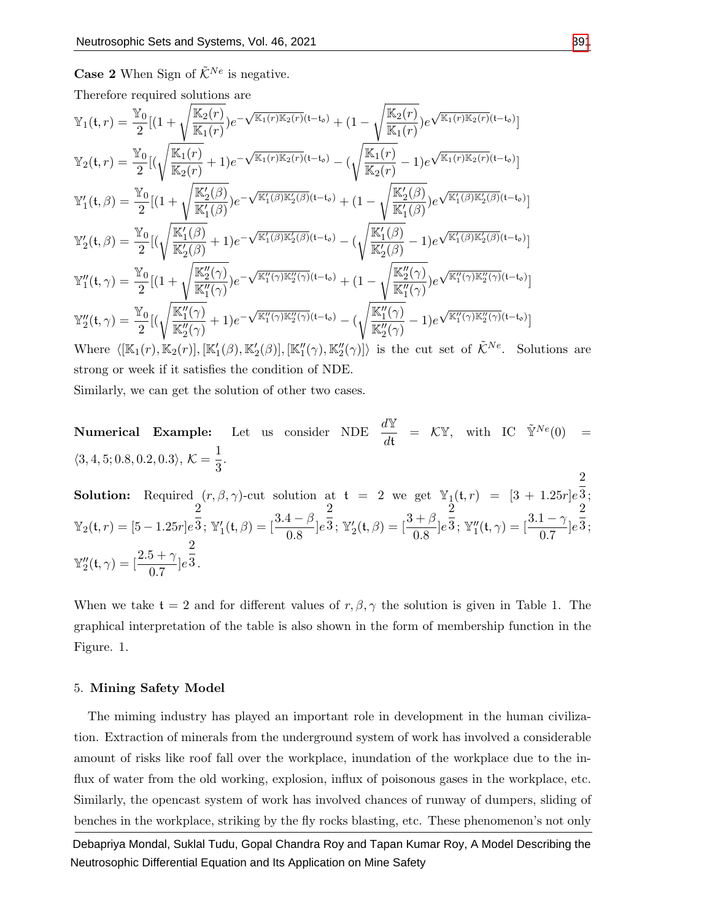**Case 2** When Sign of  $\tilde{\mathcal{K}}^{Ne}$  is negative.

Therefore required solutions are

$$
\mathbb{Y}_{1}(t,r) = \frac{\mathbb{Y}_{0}}{2}[(1+\sqrt{\frac{\mathbb{K}_{2}(r)}{\mathbb{K}_{1}(r)\mathbb{K}_{2}(r)}})e^{-\sqrt{\mathbb{K}_{1}(r)\mathbb{K}_{2}(r)}(t-t_{o})} + (1-\sqrt{\frac{\mathbb{K}_{2}(r)}{\mathbb{K}_{1}(r)}})e^{\sqrt{\mathbb{K}_{1}(r)\mathbb{K}_{2}(r)}(t-t_{o})}]
$$
  
\n
$$
\mathbb{Y}_{2}(t,r) = \frac{\mathbb{Y}_{0}}{2}[(\sqrt{\frac{\mathbb{K}_{1}(r)}{\mathbb{K}_{2}(r)}}+1)e^{-\sqrt{\mathbb{K}_{1}(r)\mathbb{K}_{2}(r)}(t-t_{o})} - (\sqrt{\frac{\mathbb{K}_{1}(r)}{\mathbb{K}_{2}(r)}}-1)e^{\sqrt{\mathbb{K}_{1}(r)\mathbb{K}_{2}(r)}(t-t_{o})}]
$$
  
\n
$$
\mathbb{Y}'_{1}(t,\beta) = \frac{\mathbb{Y}_{0}}{2}[(1+\sqrt{\frac{\mathbb{K}'_{2}(\beta)}{\mathbb{K}'_{1}(\beta)}}e^{-\sqrt{\mathbb{K}'_{1}(\beta)\mathbb{K}'_{2}(\beta)}(t-t_{o})} + (1-\sqrt{\frac{\mathbb{K}'_{2}(\beta)}{\mathbb{K}'_{1}(\beta)}}e^{\sqrt{\mathbb{K}'_{1}(\beta)\mathbb{K}'_{2}(\beta)}(t-t_{o})}]
$$
  
\n
$$
\mathbb{Y}'_{2}(t,\beta) = \frac{\mathbb{Y}_{0}}{2}[(\sqrt{\frac{\mathbb{K}'_{1}(\beta)}{\mathbb{K}'_{2}(\beta)}}+1)e^{-\sqrt{\mathbb{K}'_{1}(\beta)\mathbb{K}'_{2}(\beta)}(t-t_{o})} - (\sqrt{\frac{\mathbb{K}'_{1}(\beta)}{\mathbb{K}'_{2}(\beta)}}-1)e^{\sqrt{\mathbb{K}'_{1}(\beta)\mathbb{K}'_{2}(\beta)}(t-t_{o})}]
$$
  
\n
$$
\mathbb{Y}''_{1}(t,\gamma) = \frac{\mathbb{Y}_{0}}{2}[(1+\sqrt{\frac{\mathbb{K}'_{2}(\gamma)}{\mathbb{K}'_{1}(\gamma)}}e^{-\sqrt{\mathbb{K}'_{1}(\gamma)\mathbb{K}'_{2}(\gamma)}(t-t_{o})} + (1-\sqrt{\frac{\mathbb{K}'_{2}(\gamma)}{\mathbb{K}'
$$

strong or week if it satisfies the condition of NDE.

Similarly, we can get the solution of other two cases.

**Numerical Example:** Let us consider NDE  $\frac{d\mathbb{Y}}{dt} = \mathcal{K}\mathbb{Y}$ , with IC  $\tilde{\mathbb{Y}}^{Ne}(0) =$  $\langle 3, 4, 5; 0.8, 0.2, 0.3 \rangle, \mathcal{K} = \frac{1}{2}$  $\frac{1}{3}$ . 2

**Solution:** Required  $(r, \beta, \gamma)$ -cut solution at  $t = 2$  we get  $\mathbb{Y}_1(t, r) = [3 + 1.25r]e$ 3 ;  $\mathbb{Y}_2(\mathfrak{t}, r) = [5 - 1.25r]e$ 2  $\frac{1}{3}$ ; Y'<sub>1</sub>(t,  $\beta$ ) =  $\left[\frac{3.4 - \beta}{0.8}\right]e$ 2  $\overline{3}$ ; Y<sub>2</sub>(t,  $\beta$ ) =  $\left[\frac{3+\beta}{0.8}\right]e$ 2  $\bar{\bar{3}}$ ;  $\mathbb{Y}''_1(\mathfrak{t}, \gamma) = [\frac{3.1 - \gamma}{0.7}]e$ 2 3 ;  $\mathbb{Y}_2''(t,\gamma) = \left[\frac{2.5 + \gamma}{0.7}\right]e^{\frac{1}{3}}.$ 2

When we take  $t = 2$  and for different values of  $r, \beta, \gamma$  the solution is given in Table 1. The graphical interpretation of the table is also shown in the form of membership function in the Figure. 1.

#### 5. Mining Safety Model

The miming industry has played an important role in development in the human civilization. Extraction of minerals from the underground system of work has involved a considerable amount of risks like roof fall over the workplace, inundation of the workplace due to the influx of water from the old working, explosion, influx of poisonous gases in the workplace, etc. Similarly, the opencast system of work has involved chances of runway of dumpers, sliding of benches in the workplace, striking by the fly rocks blasting, etc. These phenomenon's not only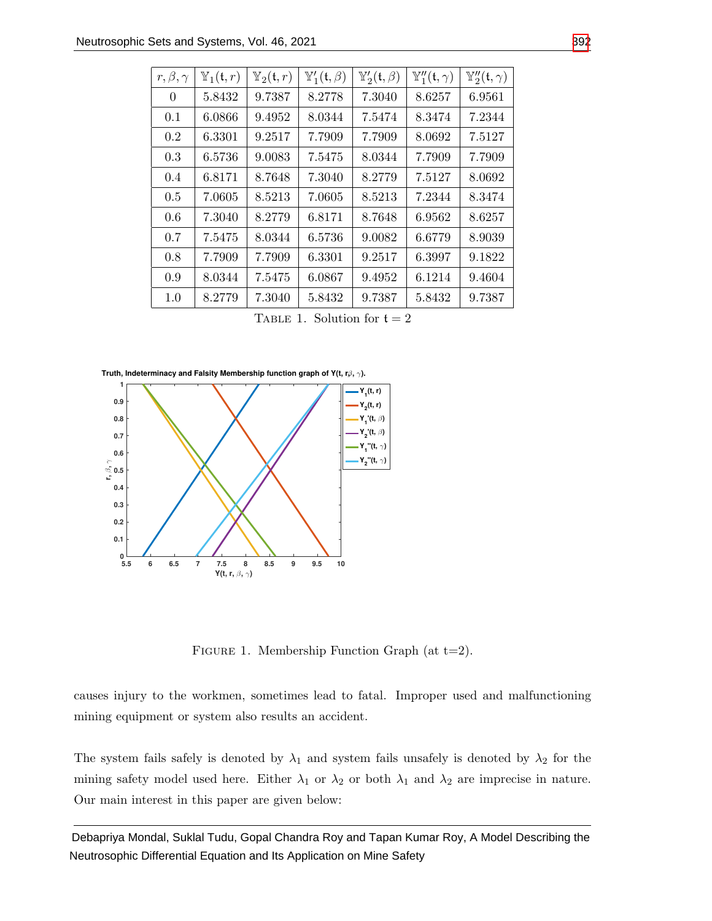| $r, \beta, \gamma$ | $\mathbb{Y}_1(\mathfrak{t},r)$ | $\mathbb{Y}_2(\mathfrak{t},r)$ | $\mathbb{Y}'_1(\mathfrak{t},\beta)$ | $\mathbb{Y}'_2(\mathfrak{t},\beta)$ | $\mathbb{Y}''_1(\mathfrak{t}, \gamma)$ | $\mathbb{Y}_2'' ( \mathfrak{t}, \gamma )$ |
|--------------------|--------------------------------|--------------------------------|-------------------------------------|-------------------------------------|----------------------------------------|-------------------------------------------|
| 0                  | 5.8432                         | 9.7387                         | 8.2778                              | 7.3040                              | 8.6257                                 | 6.9561                                    |
| 0.1                | 6.0866                         | 9.4952                         | 8.0344                              | 7.5474                              | 8.3474                                 | 7.2344                                    |
| 0.2                | 6.3301                         | 9.2517                         | 7.7909                              | 7.7909                              | 8.0692                                 | 7.5127                                    |
| 0.3                | 6.5736                         | 9.0083                         | 7.5475                              | 8.0344                              | 7.7909                                 | 7.7909                                    |
| 0.4                | 6.8171                         | 8.7648                         | 7.3040                              | 8.2779                              | 7.5127                                 | 8.0692                                    |
| 0.5                | 7.0605                         | 8.5213                         | 7.0605                              | 8.5213                              | 7.2344                                 | 8.3474                                    |
| 0.6                | 7.3040                         | 8.2779                         | 6.8171                              | 8.7648                              | 6.9562                                 | 8.6257                                    |
| 0.7                | 7.5475                         | 8.0344                         | 6.5736                              | 9.0082                              | 6.6779                                 | 8.9039                                    |
| 0.8                | 7.7909                         | 7.7909                         | 6.3301                              | 9.2517                              | 6.3997                                 | 9.1822                                    |
| 0.9                | 8.0344                         | 7.5475                         | 6.0867                              | 9.4952                              | 6.1214                                 | 9.4604                                    |
| 1.0                | 8.2779                         | 7.3040                         | 5.8432                              | 9.7387                              | 5.8432                                 | 9.7387                                    |

TABLE 1. Solution for  $t = 2$ 

**Truth, Indeterminacy and Falsity Membership function graph of Y(t, r** $β$ **,**  $γ$ **).** 



FIGURE 1. Membership Function Graph (at  $t=2$ ).

causes injury to the workmen, sometimes lead to fatal. Improper used and malfunctioning mining equipment or system also results an accident.

The system fails safely is denoted by  $\lambda_1$  and system fails unsafely is denoted by  $\lambda_2$  for the mining safety model used here. Either  $\lambda_1$  or  $\lambda_2$  or both  $\lambda_1$  and  $\lambda_2$  are imprecise in nature. Our main interest in this paper are given below: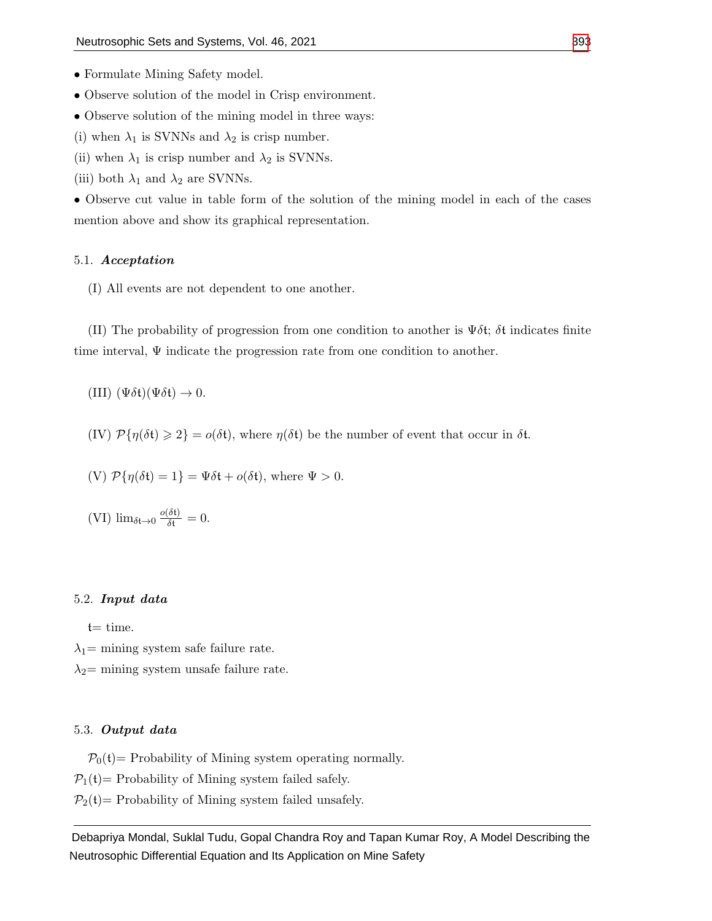- Formulate Mining Safety model.
- Observe solution of the model in Crisp environment.
- Observe solution of the mining model in three ways:
- (i) when  $\lambda_1$  is SVNNs and  $\lambda_2$  is crisp number.
- (ii) when  $\lambda_1$  is crisp number and  $\lambda_2$  is SVNNs.
- (iii) both  $\lambda_1$  and  $\lambda_2$  are SVNNs.

• Observe cut value in table form of the solution of the mining model in each of the cases mention above and show its graphical representation.

#### 5.1. Acceptation

(I) All events are not dependent to one another.

(II) The probability of progression from one condition to another is  $\Psi \delta t$ ;  $\delta t$  indicates finite time interval,  $\Psi$  indicate the progression rate from one condition to another.

(III)  $(\Psi \delta \mathfrak{t})(\Psi \delta \mathfrak{t}) \to 0.$ 

(IV)  $\mathcal{P}{\{\eta(\delta t) \geq 2\}} = o(\delta t)$ , where  $\eta(\delta t)$  be the number of event that occur in  $\delta t$ .

(V) 
$$
\mathcal{P}{\eta(\delta t) = 1} = \Psi \delta t + o(\delta t)
$$
, where  $\Psi > 0$ .

(VI) 
$$
\lim_{\delta t \to 0} \frac{o(\delta t)}{\delta t} = 0.
$$

#### 5.2. Input data

 $t=$  time.

 $\lambda_1$ = mining system safe failure rate.

 $\lambda_2$ = mining system unsafe failure rate.

#### 5.3. Output data

 $P_0(t)$  Probability of Mining system operating normally.

 $P_1(t)$  Probability of Mining system failed safely.

 $P_2(t)$  Probability of Mining system failed unsafely.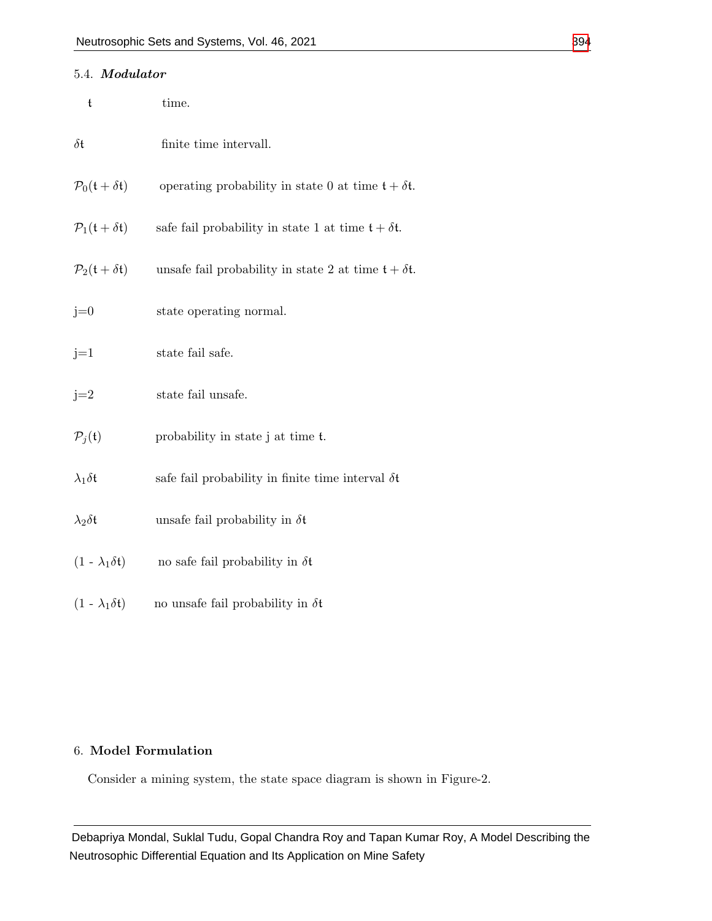| 5.4. Modulator                                   |                                                             |
|--------------------------------------------------|-------------------------------------------------------------|
| t                                                | time.                                                       |
| $\delta \mathfrak{t}$                            | finite time intervall.                                      |
| $\mathcal{P}_0(\mathfrak{t}+\delta\mathfrak{t})$ | operating probability in state 0 at time $t + \delta t$ .   |
| $\mathcal{P}_1(\mathfrak{t}+\delta\mathfrak{t})$ | safe fail probability in state 1 at time $t + \delta t$ .   |
| $\mathcal{P}_2(\mathfrak{t}+\delta\mathfrak{t})$ | unsafe fail probability in state 2 at time $t + \delta t$ . |
| $j=0$                                            | state operating normal.                                     |
| $j=1$                                            | state fail safe.                                            |
| $j=2$                                            | state fail unsafe.                                          |
| $P_j(t)$                                         | probability in state j at time t.                           |
| $\lambda_1 \delta \mathfrak{t}$                  | safe fail probability in finite time interval $\delta t$    |
| $\lambda_2 \delta \mathfrak{t}$                  | unsafe fail probability in $\delta t$                       |
| $(1 - \lambda_1 \delta t)$                       | no safe fail probability in $\delta t$                      |

# 6. Model Formulation

 $(1 - \lambda_1 \delta t)$  no unsafe fail probability in  $\delta t$ 

Consider a mining system, the state space diagram is shown in Figure-2.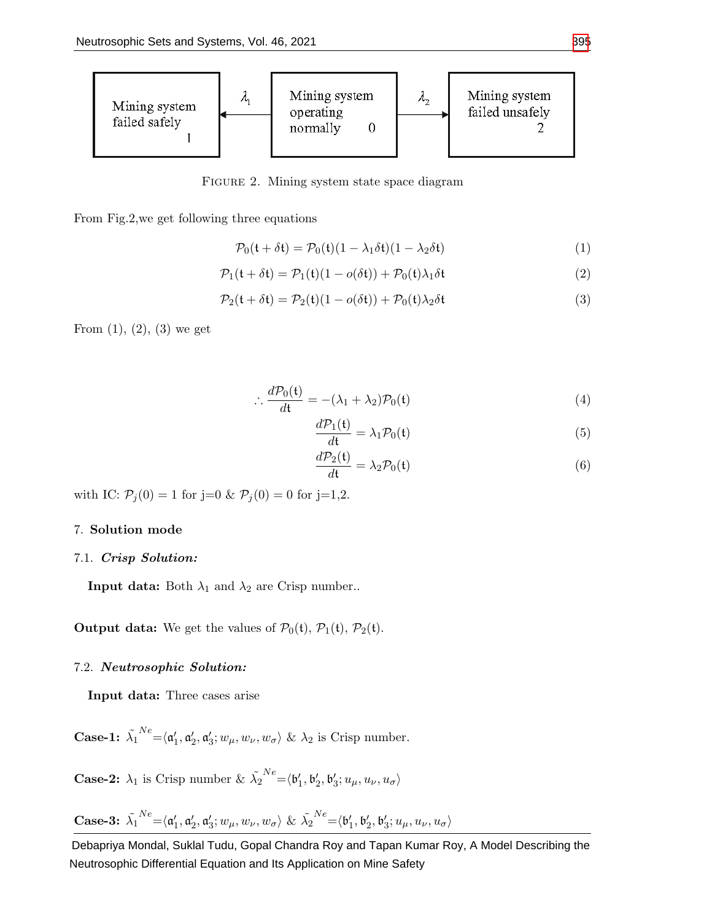

FIGURE 2. Mining system state space diagram

From Fig.2,we get following three equations

$$
\mathcal{P}_0(\mathfrak{t} + \delta \mathfrak{t}) = \mathcal{P}_0(\mathfrak{t})(1 - \lambda_1 \delta \mathfrak{t})(1 - \lambda_2 \delta \mathfrak{t}) \tag{1}
$$

$$
\mathcal{P}_1(\mathfrak{t} + \delta \mathfrak{t}) = \mathcal{P}_1(\mathfrak{t})(1 - o(\delta \mathfrak{t})) + \mathcal{P}_0(\mathfrak{t})\lambda_1 \delta \mathfrak{t}
$$
\n(2)

$$
\mathcal{P}_2(\mathfrak{t} + \delta \mathfrak{t}) = \mathcal{P}_2(\mathfrak{t})(1 - o(\delta \mathfrak{t})) + \mathcal{P}_0(\mathfrak{t})\lambda_2 \delta \mathfrak{t}
$$
\n(3)

From  $(1)$ ,  $(2)$ ,  $(3)$  we get

$$
\therefore \frac{d\mathcal{P}_0(\mathfrak{t})}{d\mathfrak{t}} = -(\lambda_1 + \lambda_2)\mathcal{P}_0(\mathfrak{t})
$$
\n(4)

$$
\frac{d\mathcal{P}_1(\mathfrak{t})}{d\mathfrak{t}} = \lambda_1 \mathcal{P}_0(\mathfrak{t})
$$
\n(5)

$$
\frac{d\mathcal{P}_2(\mathfrak{t})}{d\mathfrak{t}} = \lambda_2 \mathcal{P}_0(\mathfrak{t})
$$
\n(6)

with IC:  $P_j(0) = 1$  for j=0 &  $P_j(0) = 0$  for j=1,2.

#### 7. Solution mode

## 7.1. Crisp Solution:

**Input data:** Both  $\lambda_1$  and  $\lambda_2$  are Crisp number..

**Output data:** We get the values of  $\mathcal{P}_0(\mathfrak{t}), \mathcal{P}_1(\mathfrak{t}), \mathcal{P}_2(\mathfrak{t}).$ 

# 7.2. Neutrosophic Solution:

Input data: Three cases arise

Case-1:  $\tilde{\lambda_1}$  $X^{\textit{Re}} = \langle \mathfrak{a}'_1, \mathfrak{a}'_2, \mathfrak{a}'_3; w_\mu, w_\nu, w_\sigma \rangle$  &  $\lambda_2$  is Crisp number.

**Case-2:**  $\lambda_1$  is Crisp number &  $\tilde{\lambda_2}$  $N e\mathop{=}\nolimits \langle {\mathfrak b}_1', {\mathfrak b}_2', {\mathfrak b}_3'; u_{\mu}, u_{\nu}, u_{\sigma} \rangle$ 

Case-3: 
$$
\tilde{\lambda}_1^{Ne} = \langle \mathfrak{a}'_1, \mathfrak{a}'_2, \mathfrak{a}'_3; w_\mu, w_\nu, w_\sigma \rangle \& \tilde{\lambda}_2^{Ne} = \langle \mathfrak{b}'_1, \mathfrak{b}'_2, \mathfrak{b}'_3; u_\mu, u_\nu, u_\sigma \rangle
$$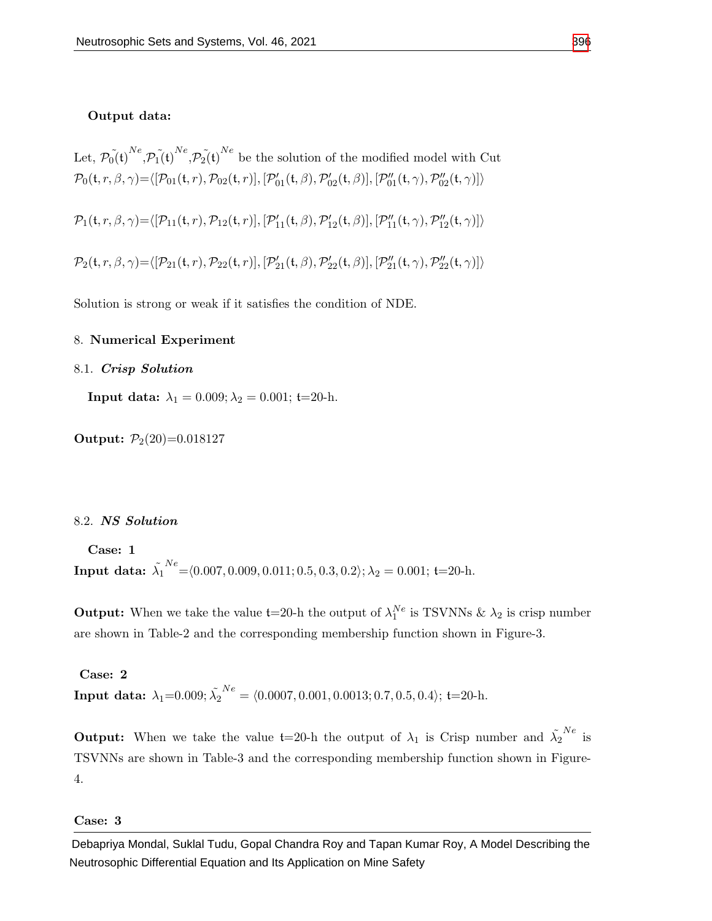#### Output data:

Let,  $\tilde{p_0(t)}^{Ne}$ ,  $\tilde{p_1(t)}^{Ne}$ ,  $\tilde{p_2(t)}^{Ne}$  be the solution of the modified model with Cut  $\mathcal{P}_0(\mathfrak{t}, r, \beta, \gamma) = \langle [\mathcal{P}_{01}(\mathfrak{t}, r), \mathcal{P}_{02}(\mathfrak{t}, r)], [\mathcal{P}_{01}'(\mathfrak{t}, \beta), \mathcal{P}_{02}'(\mathfrak{t}, \beta)], [\mathcal{P}_{01}''(\mathfrak{t}, \gamma), \mathcal{P}_{02}''(\mathfrak{t}, \gamma)] \rangle$  $\mathcal{P}_1(\mathfrak{t}, r, \beta, \gamma) = \langle [\mathcal{P}_{11}(\mathfrak{t}, r), \mathcal{P}_{12}(\mathfrak{t}, r)], [\mathcal{P}_{11}'(\mathfrak{t}, \beta), \mathcal{P}_{12}'(\mathfrak{t}, \beta)], [\mathcal{P}_{11}''(\mathfrak{t}, \gamma), \mathcal{P}_{12}''(\mathfrak{t}, \gamma)] \rangle$  $\mathcal{P}_2(\mathfrak{t}, r, \beta, \gamma) = \langle [\mathcal{P}_{21}(\mathfrak{t}, r), \mathcal{P}_{22}(\mathfrak{t}, r)], [\mathcal{P}_{21}'(\mathfrak{t}, \beta), \mathcal{P}_{22}'(\mathfrak{t}, \beta)], [\mathcal{P}_{21}''(\mathfrak{t}, \gamma), \mathcal{P}_{22}''(\mathfrak{t}, \gamma)] \rangle$ 

Solution is strong or weak if it satisfies the condition of NDE.

# 8. Numerical Experiment

#### 8.1. Crisp Solution

Input data:  $\lambda_1 = 0.009; \lambda_2 = 0.001;$  t=20-h.

Output:  $P_2(20)=0.018127$ 

#### 8.2. NS Solution

Case: 1 Input data:  $\tilde{\lambda_1}$  $N_e^{Ne}$  =  $(0.007, 0.009, 0.011; 0.5, 0.3, 0.2); \lambda_2 = 0.001;$  t=20-h.

**Output:** When we take the value  $t=20$ -h the output of  $\lambda_1^{Ne}$  is TSVNNs &  $\lambda_2$  is crisp number are shown in Table-2 and the corresponding membership function shown in Figure-3.

Case: 2 Input data:  $\lambda_1{=}0.009; \tilde{\lambda_2}$  $N_e^N = \langle 0.0007, 0.001, 0.0013; 0.7, 0.5, 0.4 \rangle;$  t=20-h.

**Output:** When we take the value  $t=20$ -h the output of  $\lambda_1$  is Crisp number and  $\tilde{\lambda_2}^{Ne}$  is TSVNNs are shown in Table-3 and the corresponding membership function shown in Figure-4.

#### Case: 3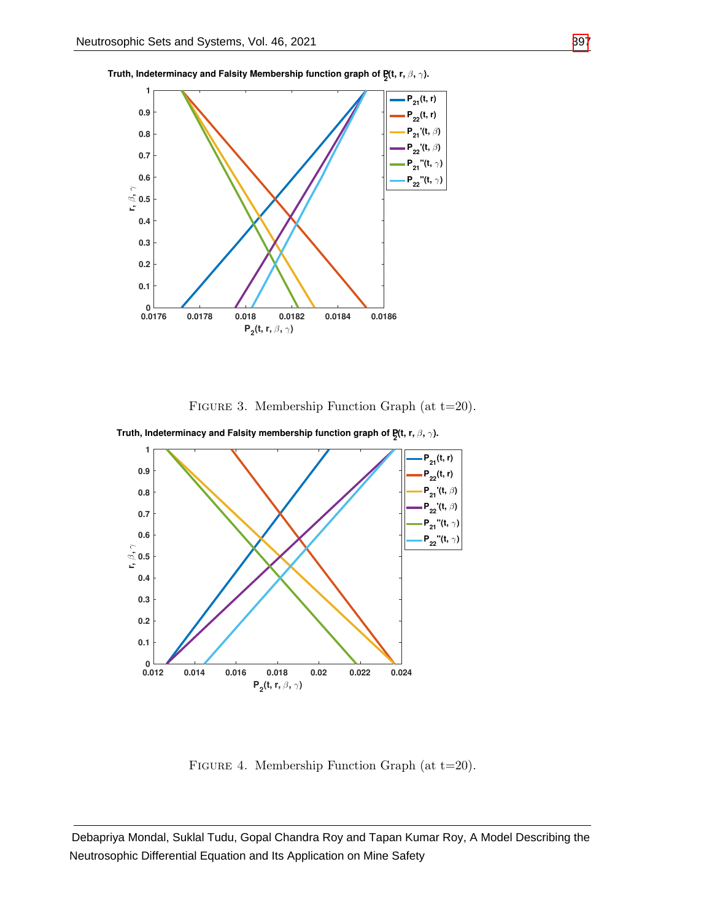



FIGURE 3. Membership Function Graph (at  $t=20$ ).



**Truth, Indeterminacy and Falsity membership function graph of P<sup>2</sup> (t, r,** β**,** γ**).**

Figure 4. Membership Function Graph (at t=20).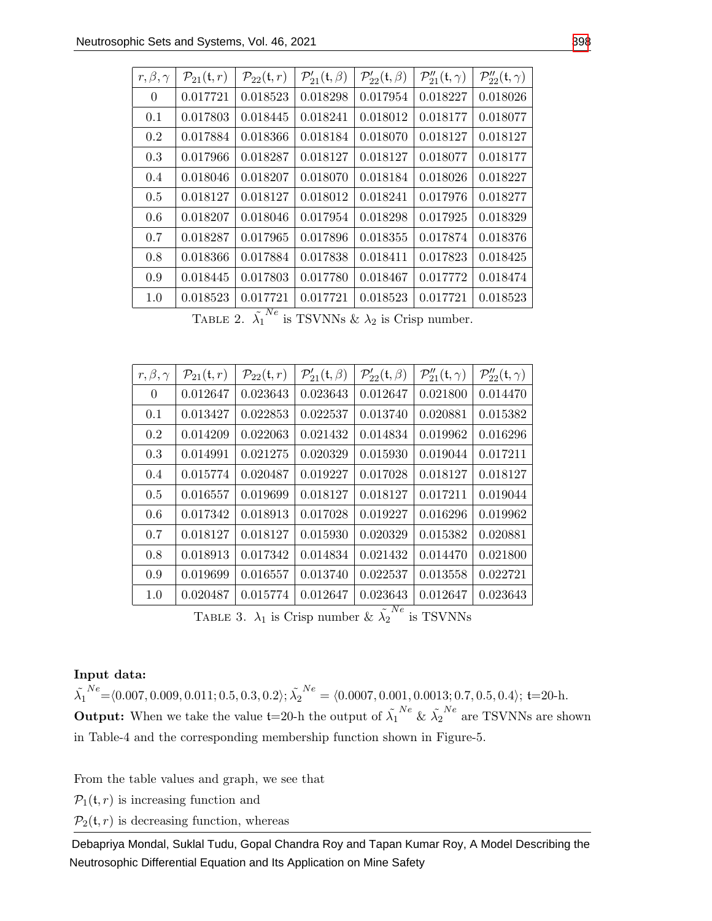| $r, \beta, \gamma$ | $\mathcal{P}_{21}(\mathfrak{t},r)$ | $\mathcal{P}_{22}(\mathfrak{t},r)$ | $\mathcal{P}'_{21}(\mathfrak{t},\beta)$ | $\mathcal{P}'_{22}(\mathfrak{t},\beta)$ | $\mathcal{P}_2''_1(\mathfrak{t},\gamma)$ | $\mathcal{P}_{22}''(\mathfrak{t},\gamma)$ |
|--------------------|------------------------------------|------------------------------------|-----------------------------------------|-----------------------------------------|------------------------------------------|-------------------------------------------|
| $\overline{0}$     | 0.017721                           | 0.018523                           | 0.018298                                | 0.017954                                | 0.018227                                 | 0.018026                                  |
| 0.1                | 0.017803                           | 0.018445                           | 0.018241                                | 0.018012                                | 0.018177                                 | 0.018077                                  |
| 0.2                | 0.017884                           | 0.018366                           | 0.018184                                | 0.018070                                | 0.018127                                 | 0.018127                                  |
| 0.3                | 0.017966                           | 0.018287                           | 0.018127                                | 0.018127                                | 0.018077                                 | 0.018177                                  |
| 0.4                | 0.018046                           | 0.018207                           | 0.018070                                | 0.018184                                | 0.018026                                 | 0.018227                                  |
| 0.5                | 0.018127                           | 0.018127                           | 0.018012                                | 0.018241                                | 0.017976                                 | 0.018277                                  |
| 0.6                | 0.018207                           | 0.018046                           | 0.017954                                | 0.018298                                | 0.017925                                 | 0.018329                                  |
| 0.7                | 0.018287                           | 0.017965                           | 0.017896                                | 0.018355                                | 0.017874                                 | 0.018376                                  |
| 0.8                | 0.018366                           | 0.017884                           | 0.017838                                | 0.018411                                | 0.017823                                 | 0.018425                                  |
| 0.9                | 0.018445                           | 0.017803                           | 0.017780                                | 0.018467                                | 0.017772                                 | 0.018474                                  |
| 1.0                | 0.018523                           | 0.017721<br>$\sim N_{\odot}$       | 0.017721                                | 0.018523                                | 0.017721                                 | 0.018523                                  |

TABLE 2.  $\tilde{\lambda_1}^{Ne}$  is TSVNNs &  $\lambda_2$  is Crisp number.

| $r, \beta, \gamma$ | $\mathcal{P}_{21}(\mathfrak{t},r)$ | $\mathcal{P}_{22}(\mathfrak{t},r)$ | $\mathcal{P}'_{21}(\mathfrak{t},\beta)$ | $\mathcal{P}'_{22}(\mathfrak{t},\beta)$ | $\mathcal{P}_{21}''({\mathfrak{t}},\gamma)$ | $\mathcal{P}_{22}''(t,\gamma)$ |
|--------------------|------------------------------------|------------------------------------|-----------------------------------------|-----------------------------------------|---------------------------------------------|--------------------------------|
| $\Omega$           | 0.012647                           | 0.023643                           | 0.023643                                | 0.012647                                | 0.021800                                    | 0.014470                       |
| 0.1                | 0.013427                           | 0.022853                           | 0.022537                                | 0.013740                                | 0.020881                                    | 0.015382                       |
| 0.2                | 0.014209                           | 0.022063                           | 0.021432                                | 0.014834                                | 0.019962                                    | 0.016296                       |
| 0.3                | 0.014991                           | 0.021275                           | 0.020329                                | 0.015930                                | 0.019044                                    | 0.017211                       |
| 0.4                | 0.015774                           | 0.020487                           | 0.019227                                | 0.017028                                | 0.018127                                    | 0.018127                       |
| 0.5                | 0.016557                           | 0.019699                           | 0.018127                                | 0.018127                                | 0.017211                                    | 0.019044                       |
| 0.6                | 0.017342                           | 0.018913                           | 0.017028                                | 0.019227                                | 0.016296                                    | 0.019962                       |
| 0.7                | 0.018127                           | 0.018127                           | 0.015930                                | 0.020329                                | 0.015382                                    | 0.020881                       |
| 0.8                | 0.018913                           | 0.017342                           | 0.014834                                | 0.021432                                | 0.014470                                    | 0.021800                       |
| 0.9                | 0.019699                           | 0.016557                           | 0.013740                                | 0.022537                                | 0.013558                                    | 0.022721                       |
| 1.0                | 0.020487                           | 0.015774                           | 0.012647                                | 0.023643<br>$\sim N_{\odot}$            | 0.012647                                    | 0.023643                       |

TABLE 3.  $\lambda_1$  is Crisp number &  $\tilde{\lambda_2}^{Ne}$  is TSVNNs

# Input data:

 $\tilde{\lambda_1}$  $N^{e}$  =  $\langle 0.007, 0.009, 0.011; 0.5, 0.3, 0.2 \rangle; \tilde{\lambda_{2}}$  $N_e = \langle 0.0007, 0.001, 0.0013; 0.7, 0.5, 0.4 \rangle;$  t=20-h. **Output:** When we take the value  $t=20$ -h the output of  $\tilde{\lambda_1}^{Ne}$  &  $\tilde{\lambda_2}^{Ne}$  are TSVNNs are shown in Table-4 and the corresponding membership function shown in Figure-5.

From the table values and graph, we see that

 $\mathcal{P}_1(\mathfrak{t}, r)$  is increasing function and

 $\mathcal{P}_2(\mathfrak{t}, r)$  is decreasing function, whereas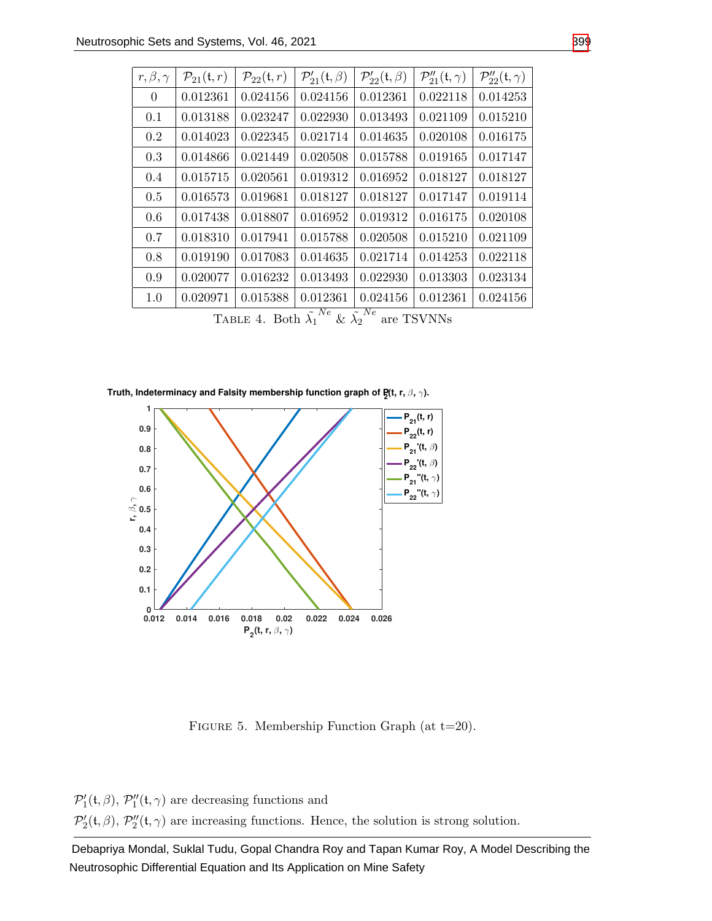| $r, \beta, \gamma$                                                                            | $\mathcal{P}_{21}(\mathfrak{t},r)$ | $\mathcal{P}_{22}(\mathfrak{t},r)$ | $\mathcal{P}'_{21}(\mathfrak{t},\beta)$ | $\mathcal{P}'_{22}(\mathfrak{t},\beta)$ | $\mathcal{P}_{21}''({\mathfrak{t}},\gamma)$ | $\mathcal{P}_{22}''(\mathfrak{t},\gamma)$ |
|-----------------------------------------------------------------------------------------------|------------------------------------|------------------------------------|-----------------------------------------|-----------------------------------------|---------------------------------------------|-------------------------------------------|
| $\overline{0}$                                                                                | 0.012361                           | 0.024156                           | 0.024156                                | 0.012361                                | 0.022118                                    | 0.014253                                  |
| 0.1                                                                                           | 0.013188                           | 0.023247                           | 0.022930                                | 0.013493                                | 0.021109                                    | 0.015210                                  |
| 0.2                                                                                           | 0.014023                           | 0.022345                           | 0.021714                                | 0.014635                                | 0.020108                                    | 0.016175                                  |
| 0.3                                                                                           | 0.014866                           | 0.021449                           | 0.020508                                | 0.015788                                | 0.019165                                    | 0.017147                                  |
| 0.4                                                                                           | 0.015715                           | 0.020561                           | 0.019312                                | 0.016952                                | 0.018127                                    | 0.018127                                  |
| 0.5                                                                                           | 0.016573                           | 0.019681                           | 0.018127                                | 0.018127                                | 0.017147                                    | 0.019114                                  |
| 0.6                                                                                           | 0.017438                           | 0.018807                           | 0.016952                                | 0.019312                                | 0.016175                                    | 0.020108                                  |
| 0.7                                                                                           | 0.018310                           | 0.017941                           | 0.015788                                | 0.020508                                | 0.015210                                    | 0.021109                                  |
| 0.8                                                                                           | 0.019190                           | 0.017083                           | 0.014635                                | 0.021714                                | 0.014253                                    | 0.022118                                  |
| 0.9                                                                                           | 0.020077                           | 0.016232                           | 0.013493                                | 0.022930                                | 0.013303                                    | 0.023134                                  |
| 1.0                                                                                           | 0.020971                           | 0.015388                           | 0.012361                                | 0.024156                                | 0.012361                                    | 0.024156                                  |
| $\sum_{i} \sum_{i} A_i$ $\sum_{i} \sum_{j} N e_j$ $\sum_{j} N e_j$<br><b>TRALIST TELEVITY</b> |                                    |                                    |                                         |                                         |                                             |                                           |

TABLE 4. Both  $\tilde{\lambda_1}^{Ne}$  &  $\tilde{\lambda_2}$ are TSVNNs

**Truth, Indeterminacy and Falsity membership function graph of P<sup>2</sup> (t, r,** β**,** γ**).**



Figure 5. Membership Function Graph (at t=20).

 $\mathcal{P}'_1(\mathfrak{t}, \beta)$ ,  $\mathcal{P}''_1(\mathfrak{t}, \gamma)$  are decreasing functions and

 $\mathcal{P}'_2(\mathfrak{t}, \beta)$ ,  $\mathcal{P}''_2(\mathfrak{t}, \gamma)$  are increasing functions. Hence, the solution is strong solution.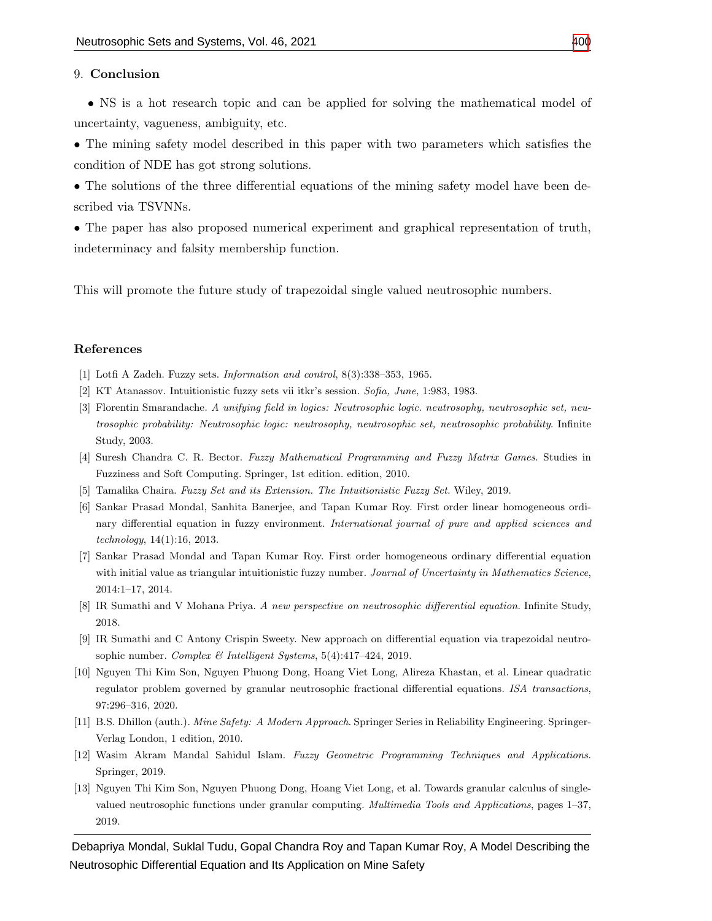#### 9. Conclusion

• NS is a hot research topic and can be applied for solving the mathematical model of uncertainty, vagueness, ambiguity, etc.

• The mining safety model described in this paper with two parameters which satisfies the condition of NDE has got strong solutions.

• The solutions of the three differential equations of the mining safety model have been described via TSVNNs.

• The paper has also proposed numerical experiment and graphical representation of truth, indeterminacy and falsity membership function.

This will promote the future study of trapezoidal single valued neutrosophic numbers.

#### References

- <span id="page-14-0"></span>[1] Lotfi A Zadeh. Fuzzy sets. Information and control, 8(3):338–353, 1965.
- <span id="page-14-1"></span>[2] KT Atanassov. Intuitionistic fuzzy sets vii itkr's session. Sofia, June, 1:983, 1983.
- <span id="page-14-2"></span>[3] Florentin Smarandache. A unifying field in logics: Neutrosophic logic. neutrosophy, neutrosophic set, neutrosophic probability: Neutrosophic logic: neutrosophy, neutrosophic set, neutrosophic probability. Infinite Study, 2003.
- <span id="page-14-3"></span>[4] Suresh Chandra C. R. Bector. Fuzzy Mathematical Programming and Fuzzy Matrix Games. Studies in Fuzziness and Soft Computing. Springer, 1st edition. edition, 2010.
- <span id="page-14-4"></span>[5] Tamalika Chaira. Fuzzy Set and its Extension. The Intuitionistic Fuzzy Set. Wiley, 2019.
- <span id="page-14-5"></span>[6] Sankar Prasad Mondal, Sanhita Banerjee, and Tapan Kumar Roy. First order linear homogeneous ordinary differential equation in fuzzy environment. International journal of pure and applied sciences and technology, 14(1):16, 2013.
- <span id="page-14-6"></span>[7] Sankar Prasad Mondal and Tapan Kumar Roy. First order homogeneous ordinary differential equation with initial value as triangular intuitionistic fuzzy number. Journal of Uncertainty in Mathematics Science, 2014:1–17, 2014.
- <span id="page-14-7"></span>[8] IR Sumathi and V Mohana Priya. A new perspective on neutrosophic differential equation. Infinite Study, 2018.
- <span id="page-14-11"></span>[9] IR Sumathi and C Antony Crispin Sweety. New approach on differential equation via trapezoidal neutrosophic number. Complex & Intelligent Systems, 5(4):417–424, 2019.
- <span id="page-14-8"></span>[10] Nguyen Thi Kim Son, Nguyen Phuong Dong, Hoang Viet Long, Alireza Khastan, et al. Linear quadratic regulator problem governed by granular neutrosophic fractional differential equations. ISA transactions, 97:296–316, 2020.
- <span id="page-14-9"></span>[11] B.S. Dhillon (auth.). Mine Safety: A Modern Approach. Springer Series in Reliability Engineering. Springer-Verlag London, 1 edition, 2010.
- <span id="page-14-10"></span>[12] Wasim Akram Mandal Sahidul Islam. Fuzzy Geometric Programming Techniques and Applications. Springer, 2019.
- <span id="page-14-12"></span>[13] Nguyen Thi Kim Son, Nguyen Phuong Dong, Hoang Viet Long, et al. Towards granular calculus of singlevalued neutrosophic functions under granular computing. Multimedia Tools and Applications, pages 1–37, 2019.